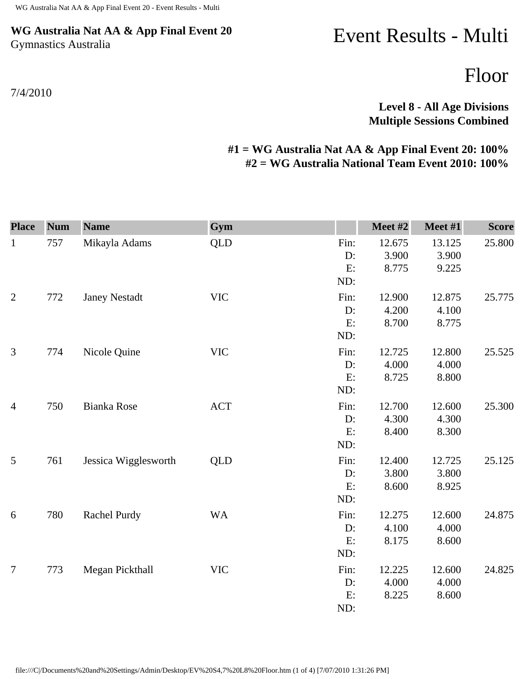## **WG Australia Nat AA & App Final Event 20** Gymnastics Australia

## Event Results - Multi

Floor

## **Level 8 - All Age Divisions Multiple Sessions Combined**

## **#1 = WG Australia Nat AA & App Final Event 20: 100% #2 = WG Australia National Team Event 2010: 100%**

| <b>Place</b>   | <b>Num</b> | <b>Name</b>          | Gym        |                            | Meet #2                  | Meet #1                  | <b>Score</b> |
|----------------|------------|----------------------|------------|----------------------------|--------------------------|--------------------------|--------------|
| $\mathbf{1}$   | 757        | Mikayla Adams        | <b>QLD</b> | Fin:<br>D:<br>E:<br>ND:    | 12.675<br>3.900<br>8.775 | 13.125<br>3.900<br>9.225 | 25.800       |
| $\overline{2}$ | 772        | <b>Janey Nestadt</b> | <b>VIC</b> | Fin:<br>D:<br>E:<br>ND:    | 12.900<br>4.200<br>8.700 | 12.875<br>4.100<br>8.775 | 25.775       |
| 3              | 774        | Nicole Quine         | <b>VIC</b> | Fin:<br>D:<br>E:<br>ND:    | 12.725<br>4.000<br>8.725 | 12.800<br>4.000<br>8.800 | 25.525       |
| $\overline{4}$ | 750        | <b>Bianka Rose</b>   | <b>ACT</b> | Fin:<br>D:<br>E:<br>ND:    | 12.700<br>4.300<br>8.400 | 12.600<br>4.300<br>8.300 | 25.300       |
| $\mathfrak{S}$ | 761        | Jessica Wigglesworth | <b>QLD</b> | Fin:<br>$D$ :<br>E:<br>ND: | 12.400<br>3.800<br>8.600 | 12.725<br>3.800<br>8.925 | 25.125       |
| 6              | 780        | Rachel Purdy         | <b>WA</b>  | Fin:<br>D:<br>E:<br>ND:    | 12.275<br>4.100<br>8.175 | 12.600<br>4.000<br>8.600 | 24.875       |
| 7              | 773        | Megan Pickthall      | <b>VIC</b> | Fin:<br>D:<br>E:<br>ND:    | 12.225<br>4.000<br>8.225 | 12.600<br>4.000<br>8.600 | 24.825       |

file:///C|/Documents%20and%20Settings/Admin/Desktop/EV%20S4,7%20L8%20Floor.htm (1 of 4) [7/07/2010 1:31:26 PM]

7/4/2010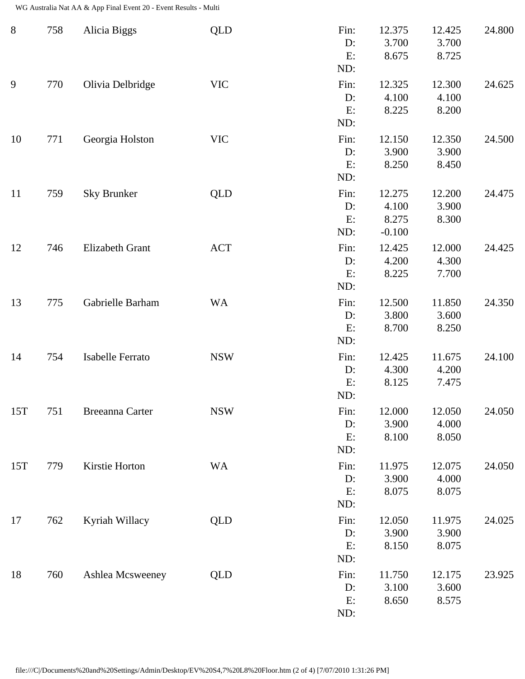WG Australia Nat AA & App Final Event 20 - Event Results - Multi

| $8\,$ | 758 | Alicia Biggs            | <b>QLD</b> | Fin:<br>D:<br>E:<br>ND:    | 12.375<br>3.700<br>8.675             | 12.425<br>3.700<br>8.725 | 24.800 |
|-------|-----|-------------------------|------------|----------------------------|--------------------------------------|--------------------------|--------|
| 9     | 770 | Olivia Delbridge        | <b>VIC</b> | Fin:<br>$D$ :<br>E:<br>ND: | 12.325<br>4.100<br>8.225             | 12.300<br>4.100<br>8.200 | 24.625 |
| 10    | 771 | Georgia Holston         | <b>VIC</b> | Fin:<br>D:<br>E:<br>ND:    | 12.150<br>3.900<br>8.250             | 12.350<br>3.900<br>8.450 | 24.500 |
| 11    | 759 | <b>Sky Brunker</b>      | <b>QLD</b> | Fin:<br>D:<br>E:<br>ND:    | 12.275<br>4.100<br>8.275<br>$-0.100$ | 12.200<br>3.900<br>8.300 | 24.475 |
| 12    | 746 | Elizabeth Grant         | <b>ACT</b> | Fin:<br>D:<br>E:<br>ND:    | 12.425<br>4.200<br>8.225             | 12.000<br>4.300<br>7.700 | 24.425 |
| 13    | 775 | Gabrielle Barham        | <b>WA</b>  | Fin:<br>D:<br>E:<br>ND:    | 12.500<br>3.800<br>8.700             | 11.850<br>3.600<br>8.250 | 24.350 |
| 14    | 754 | <b>Isabelle Ferrato</b> | <b>NSW</b> | Fin:<br>D:<br>E:<br>ND:    | 12.425<br>4.300<br>8.125             | 11.675<br>4.200<br>7.475 | 24.100 |
| 15T   | 751 | <b>Breeanna Carter</b>  | <b>NSW</b> | Fin:<br>D:<br>E:<br>ND:    | 12.000<br>3.900<br>8.100             | 12.050<br>4.000<br>8.050 | 24.050 |
| 15T   | 779 | Kirstie Horton          | <b>WA</b>  | Fin:<br>D:<br>E:<br>ND:    | 11.975<br>3.900<br>8.075             | 12.075<br>4.000<br>8.075 | 24.050 |
| 17    | 762 | Kyriah Willacy          | QLD        | Fin:<br>D:<br>E:<br>ND:    | 12.050<br>3.900<br>8.150             | 11.975<br>3.900<br>8.075 | 24.025 |
| 18    | 760 | Ashlea Mcsweeney        | <b>QLD</b> | Fin:<br>D:<br>E:<br>ND:    | 11.750<br>3.100<br>8.650             | 12.175<br>3.600<br>8.575 | 23.925 |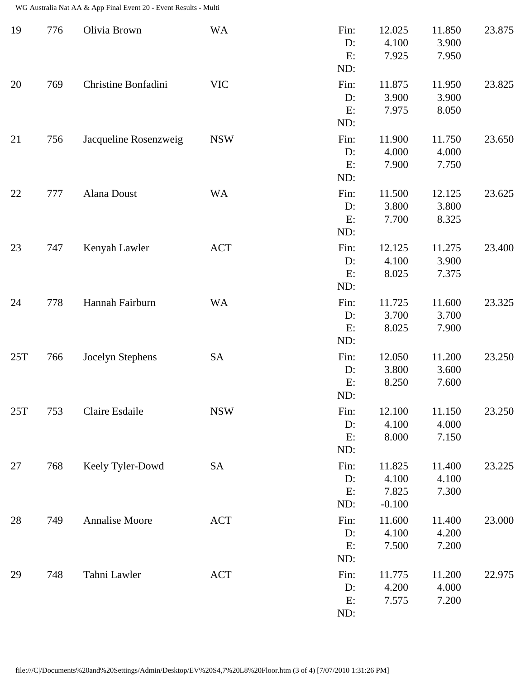WG Australia Nat AA & App Final Event 20 - Event Results - Multi

| 19  | 776 | Olivia Brown          | <b>WA</b>  | Fin:<br>D:<br>E:<br>ND:    | 12.025<br>4.100<br>7.925             | 11.850<br>3.900<br>7.950 | 23.875 |
|-----|-----|-----------------------|------------|----------------------------|--------------------------------------|--------------------------|--------|
| 20  | 769 | Christine Bonfadini   | <b>VIC</b> | Fin:<br>D:<br>E:<br>ND:    | 11.875<br>3.900<br>7.975             | 11.950<br>3.900<br>8.050 | 23.825 |
| 21  | 756 | Jacqueline Rosenzweig | <b>NSW</b> | Fin:<br>D:<br>E:<br>ND:    | 11.900<br>4.000<br>7.900             | 11.750<br>4.000<br>7.750 | 23.650 |
| 22  | 777 | Alana Doust           | <b>WA</b>  | Fin:<br>D:<br>E:<br>ND:    | 11.500<br>3.800<br>7.700             | 12.125<br>3.800<br>8.325 | 23.625 |
| 23  | 747 | Kenyah Lawler         | <b>ACT</b> | Fin:<br>D:<br>E:<br>ND:    | 12.125<br>4.100<br>8.025             | 11.275<br>3.900<br>7.375 | 23.400 |
| 24  | 778 | Hannah Fairburn       | <b>WA</b>  | Fin:<br>D:<br>E:<br>ND:    | 11.725<br>3.700<br>8.025             | 11.600<br>3.700<br>7.900 | 23.325 |
| 25T | 766 | Jocelyn Stephens      | <b>SA</b>  | Fin:<br>$D$ :<br>E:<br>ND: | 12.050<br>3.800<br>8.250             | 11.200<br>3.600<br>7.600 | 23.250 |
| 25T | 753 | Claire Esdaile        | <b>NSW</b> | Fin:<br>D:<br>E:<br>ND:    | 12.100<br>4.100<br>8.000             | 11.150<br>4.000<br>7.150 | 23.250 |
| 27  | 768 | Keely Tyler-Dowd      | <b>SA</b>  | Fin:<br>$D$ :<br>E:<br>ND: | 11.825<br>4.100<br>7.825<br>$-0.100$ | 11.400<br>4.100<br>7.300 | 23.225 |
| 28  | 749 | Annalise Moore        | <b>ACT</b> | Fin:<br>$D$ :<br>E:<br>ND: | 11.600<br>4.100<br>7.500             | 11.400<br>4.200<br>7.200 | 23.000 |
| 29  | 748 | Tahni Lawler          | <b>ACT</b> | Fin:<br>D:<br>E:<br>ND:    | 11.775<br>4.200<br>7.575             | 11.200<br>4.000<br>7.200 | 22.975 |